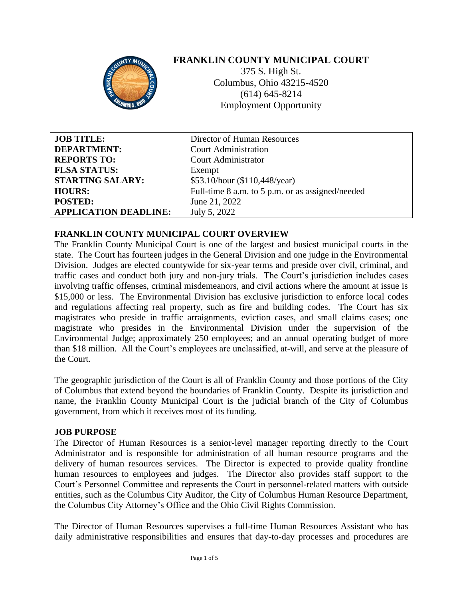

# **FRANKLIN COUNTY MUNICIPAL COURT**

375 S. High St. Columbus, Ohio 43215-4520 (614) 645-8214 Employment Opportunity

| <b>JOB TITLE:</b>            | Director of Human Resources                      |
|------------------------------|--------------------------------------------------|
| <b>DEPARTMENT:</b>           | <b>Court Administration</b>                      |
| <b>REPORTS TO:</b>           | <b>Court Administrator</b>                       |
| <b>FLSA STATUS:</b>          | Exempt                                           |
| <b>STARTING SALARY:</b>      | \$53.10/hour (\$110,448/year)                    |
| <b>HOURS:</b>                | Full-time 8 a.m. to 5 p.m. or as assigned/needed |
| <b>POSTED:</b>               | June 21, 2022                                    |
| <b>APPLICATION DEADLINE:</b> | July 5, 2022                                     |

### **FRANKLIN COUNTY MUNICIPAL COURT OVERVIEW**

The Franklin County Municipal Court is one of the largest and busiest municipal courts in the state. The Court has fourteen judges in the General Division and one judge in the Environmental Division. Judges are elected countywide for six-year terms and preside over civil, criminal, and traffic cases and conduct both jury and non-jury trials. The Court's jurisdiction includes cases involving traffic offenses, criminal misdemeanors, and civil actions where the amount at issue is \$15,000 or less. The Environmental Division has exclusive jurisdiction to enforce local codes and regulations affecting real property, such as fire and building codes. The Court has six magistrates who preside in traffic arraignments, eviction cases, and small claims cases; one magistrate who presides in the Environmental Division under the supervision of the Environmental Judge; approximately 250 employees; and an annual operating budget of more than \$18 million. All the Court's employees are unclassified, at-will, and serve at the pleasure of the Court.

The geographic jurisdiction of the Court is all of Franklin County and those portions of the City of Columbus that extend beyond the boundaries of Franklin County. Despite its jurisdiction and name, the Franklin County Municipal Court is the judicial branch of the City of Columbus government, from which it receives most of its funding.

### **JOB PURPOSE**

The Director of Human Resources is a senior-level manager reporting directly to the Court Administrator and is responsible for administration of all human resource programs and the delivery of human resources services. The Director is expected to provide quality frontline human resources to employees and judges. The Director also provides staff support to the Court's Personnel Committee and represents the Court in personnel-related matters with outside entities, such as the Columbus City Auditor, the City of Columbus Human Resource Department, the Columbus City Attorney's Office and the Ohio Civil Rights Commission.

The Director of Human Resources supervises a full-time Human Resources Assistant who has daily administrative responsibilities and ensures that day-to-day processes and procedures are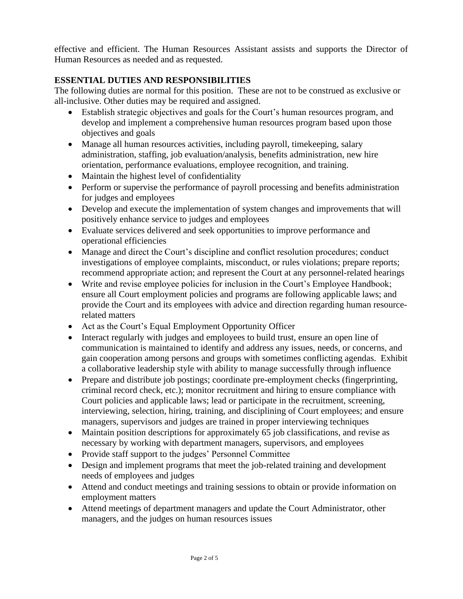effective and efficient. The Human Resources Assistant assists and supports the Director of Human Resources as needed and as requested.

## **ESSENTIAL DUTIES AND RESPONSIBILITIES**

The following duties are normal for this position. These are not to be construed as exclusive or all-inclusive. Other duties may be required and assigned.

- Establish strategic objectives and goals for the Court's human resources program, and develop and implement a comprehensive human resources program based upon those objectives and goals
- Manage all human resources activities, including payroll, time keeping, salary administration, staffing, job evaluation/analysis, benefits administration, new hire orientation, performance evaluations, employee recognition, and training.
- Maintain the highest level of confidentiality
- Perform or supervise the performance of payroll processing and benefits administration for judges and employees
- Develop and execute the implementation of system changes and improvements that will positively enhance service to judges and employees
- Evaluate services delivered and seek opportunities to improve performance and operational efficiencies
- Manage and direct the Court's discipline and conflict resolution procedures; conduct investigations of employee complaints, misconduct, or rules violations; prepare reports; recommend appropriate action; and represent the Court at any personnel-related hearings
- Write and revise employee policies for inclusion in the Court's Employee Handbook; ensure all Court employment policies and programs are following applicable laws; and provide the Court and its employees with advice and direction regarding human resourcerelated matters
- Act as the Court's Equal Employment Opportunity Officer
- Interact regularly with judges and employees to build trust, ensure an open line of communication is maintained to identify and address any issues, needs, or concerns, and gain cooperation among persons and groups with sometimes conflicting agendas. Exhibit a collaborative leadership style with ability to manage successfully through influence
- Prepare and distribute job postings; coordinate pre-employment checks (fingerprinting, criminal record check, etc.); monitor recruitment and hiring to ensure compliance with Court policies and applicable laws; lead or participate in the recruitment, screening, interviewing, selection, hiring, training, and disciplining of Court employees; and ensure managers, supervisors and judges are trained in proper interviewing techniques
- Maintain position descriptions for approximately 65 job classifications, and revise as necessary by working with department managers, supervisors, and employees
- Provide staff support to the judges' Personnel Committee
- Design and implement programs that meet the job-related training and development needs of employees and judges
- Attend and conduct meetings and training sessions to obtain or provide information on employment matters
- Attend meetings of department managers and update the Court Administrator, other managers, and the judges on human resources issues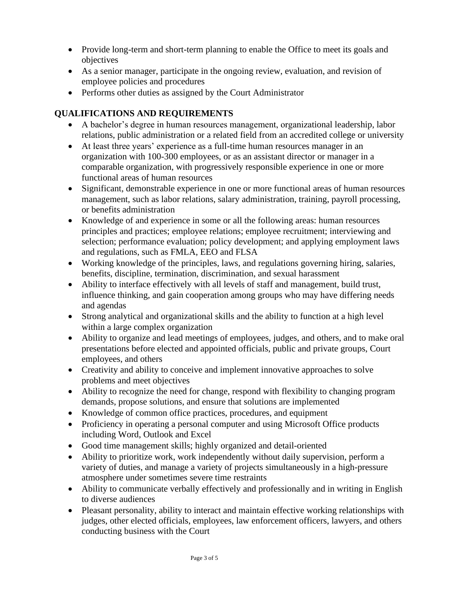- Provide long-term and short-term planning to enable the Office to meet its goals and objectives
- As a senior manager, participate in the ongoing review, evaluation, and revision of employee policies and procedures
- Performs other duties as assigned by the Court Administrator

## **QUALIFICATIONS AND REQUIREMENTS**

- A bachelor's degree in human resources management, organizational leadership, labor relations, public administration or a related field from an accredited college or university
- At least three years' experience as a full-time human resources manager in an organization with 100-300 employees, or as an assistant director or manager in a comparable organization, with progressively responsible experience in one or more functional areas of human resources
- Significant, demonstrable experience in one or more functional areas of human resources management, such as labor relations, salary administration, training, payroll processing, or benefits administration
- Knowledge of and experience in some or all the following areas: human resources principles and practices; employee relations; employee recruitment; interviewing and selection; performance evaluation; policy development; and applying employment laws and regulations, such as FMLA, EEO and FLSA
- Working knowledge of the principles, laws, and regulations governing hiring, salaries, benefits, discipline, termination, discrimination, and sexual harassment
- Ability to interface effectively with all levels of staff and management, build trust, influence thinking, and gain cooperation among groups who may have differing needs and agendas
- Strong analytical and organizational skills and the ability to function at a high level within a large complex organization
- Ability to organize and lead meetings of employees, judges, and others, and to make oral presentations before elected and appointed officials, public and private groups, Court employees, and others
- Creativity and ability to conceive and implement innovative approaches to solve problems and meet objectives
- Ability to recognize the need for change, respond with flexibility to changing program demands, propose solutions, and ensure that solutions are implemented
- Knowledge of common office practices, procedures, and equipment
- Proficiency in operating a personal computer and using Microsoft Office products including Word, Outlook and Excel
- Good time management skills; highly organized and detail-oriented
- Ability to prioritize work, work independently without daily supervision, perform a variety of duties, and manage a variety of projects simultaneously in a high-pressure atmosphere under sometimes severe time restraints
- Ability to communicate verbally effectively and professionally and in writing in English to diverse audiences
- Pleasant personality, ability to interact and maintain effective working relationships with judges, other elected officials, employees, law enforcement officers, lawyers, and others conducting business with the Court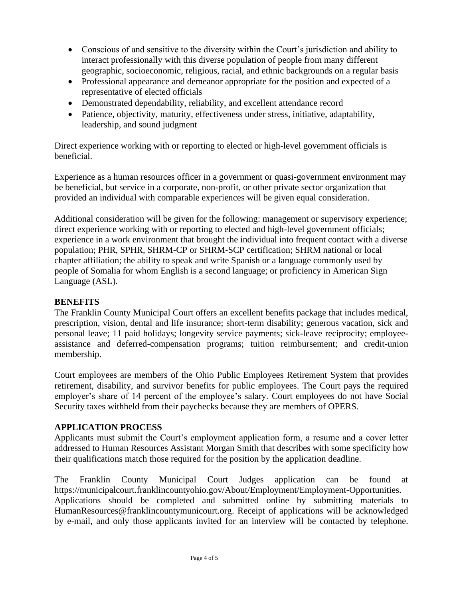- Conscious of and sensitive to the diversity within the Court's jurisdiction and ability to interact professionally with this diverse population of people from many different geographic, socioeconomic, religious, racial, and ethnic backgrounds on a regular basis
- Professional appearance and demeanor appropriate for the position and expected of a representative of elected officials
- Demonstrated dependability, reliability, and excellent attendance record
- Patience, objectivity, maturity, effectiveness under stress, initiative, adaptability, leadership, and sound judgment

Direct experience working with or reporting to elected or high-level government officials is beneficial.

Experience as a human resources officer in a government or quasi-government environment may be beneficial, but service in a corporate, non-profit, or other private sector organization that provided an individual with comparable experiences will be given equal consideration.

Additional consideration will be given for the following: management or supervisory experience; direct experience working with or reporting to elected and high-level government officials; experience in a work environment that brought the individual into frequent contact with a diverse population; PHR, SPHR, SHRM-CP or SHRM-SCP certification; SHRM national or local chapter affiliation; the ability to speak and write Spanish or a language commonly used by people of Somalia for whom English is a second language; or proficiency in American Sign Language (ASL).

## **BENEFITS**

The Franklin County Municipal Court offers an excellent benefits package that includes medical, prescription, vision, dental and life insurance; short-term disability; generous vacation, sick and personal leave; 11 paid holidays; longevity service payments; sick-leave reciprocity; employeeassistance and deferred-compensation programs; tuition reimbursement; and credit-union membership.

Court employees are members of the Ohio Public Employees Retirement System that provides retirement, disability, and survivor benefits for public employees. The Court pays the required employer's share of 14 percent of the employee's salary. Court employees do not have Social Security taxes withheld from their paychecks because they are members of OPERS.

### **APPLICATION PROCESS**

Applicants must submit the Court's employment application form, a resume and a cover letter addressed to Human Resources Assistant Morgan Smith that describes with some specificity how their qualifications match those required for the position by the application deadline.

The Franklin County Municipal Court Judges application can be found at [https://municipalcourt.franklincountyohio.gov/About/Employment/Employment-Opportunities.](https://municipalcourt.franklincountyohio.gov/About/Employment/Employment-Opportunities) Applications should be completed and submitted online by submitting materials to HumanResources@franklincountymunicourt.org. Receipt of applications will be acknowledged by e-mail, and only those applicants invited for an interview will be contacted by telephone.